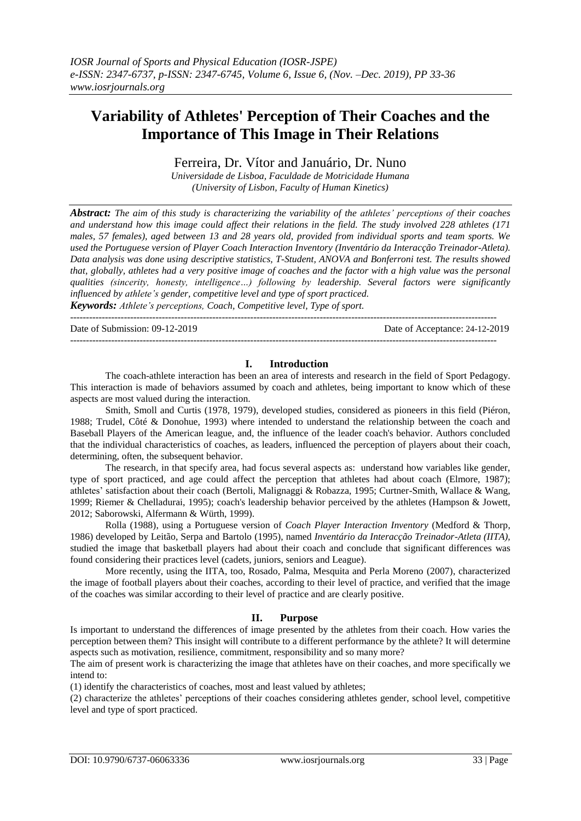# **Variability of Athletes' Perception of Their Coaches and the Importance of This Image in Their Relations**

Ferreira, Dr. Vítor and Januário, Dr. Nuno

*Universidade de Lisboa, Faculdade de Motricidade Humana (University of Lisbon, Faculty of Human Kinetics)*

*Abstract: The aim of this study is characterizing the variability of the athletes' perceptions of their coaches and understand how this image could affect their relations in the field. The study involved 228 athletes (171 males, 57 females), aged between 13 and 28 years old, provided from individual sports and team sports. We used the Portuguese version of Player Coach Interaction Inventory (Inventário da Interacção Treinador-Atleta). Data analysis was done using descriptive statistics, T-Student, ANOVA and Bonferroni test. The results showed that, globally, athletes had a very positive image of coaches and the factor with a high value was the personal qualities (sincerity, honesty, intelligence…) following by leadership. Several factors were significantly influenced by athlete's gender, competitive level and type of sport practiced.*

*Keywords: Athlete's perceptions, Coach, Competitive level, Type of sport.* ---------------------------------------------------------------------------------------------------------------------------------------

Date of Submission: 09-12-2019 Date of Acceptance: 24-12-2019

## **I. Introduction**

---------------------------------------------------------------------------------------------------------------------------------------

The coach-athlete interaction has been an area of interests and research in the field of Sport Pedagogy. This interaction is made of behaviors assumed by coach and athletes, being important to know which of these aspects are most valued during the interaction.

Smith, Smoll and Curtis (1978, 1979), developed studies, considered as pioneers in this field (Piéron, 1988; Trudel, Côté & Donohue, 1993) where intended to understand the relationship between the coach and Baseball Players of the American league, and, the influence of the leader coach's behavior. Authors concluded that the individual characteristics of coaches, as leaders, influenced the perception of players about their coach, determining, often, the subsequent behavior.

The research, in that specify area, had focus several aspects as: understand how variables like gender, type of sport practiced, and age could affect the perception that athletes had about coach (Elmore, 1987); athletes' satisfaction about their coach (Bertoli, Malignaggi & Robazza, 1995; Curtner-Smith, Wallace & Wang, 1999; Riemer & Chelladurai, 1995); coach's leadership behavior perceived by the athletes (Hampson & Jowett, 2012; Saborowski, Alfermann & Würth, 1999).

Rolla (1988), using a Portuguese version of *Coach Player Interaction Inventory* (Medford & Thorp, 1986) developed by Leitão, Serpa and Bartolo (1995), named *Inventário da Interacção Treinador-Atleta (IITA),*  studied the image that basketball players had about their coach and conclude that significant differences was found considering their practices level (cadets, juniors, seniors and League).

More recently, using the IITA, too, Rosado, Palma, Mesquita and Perla Moreno (2007), characterized the image of football players about their coaches, according to their level of practice, and verified that the image of the coaches was similar according to their level of practice and are clearly positive.

## **II. Purpose**

Is important to understand the differences of image presented by the athletes from their coach. How varies the perception between them? This insight will contribute to a different performance by the athlete? It will determine aspects such as motivation, resilience, commitment, responsibility and so many more?

The aim of present work is characterizing the image that athletes have on their coaches, and more specifically we intend to:

(1) identify the characteristics of coaches, most and least valued by athletes;

(2) characterize the athletes' perceptions of their coaches considering athletes gender, school level, competitive level and type of sport practiced.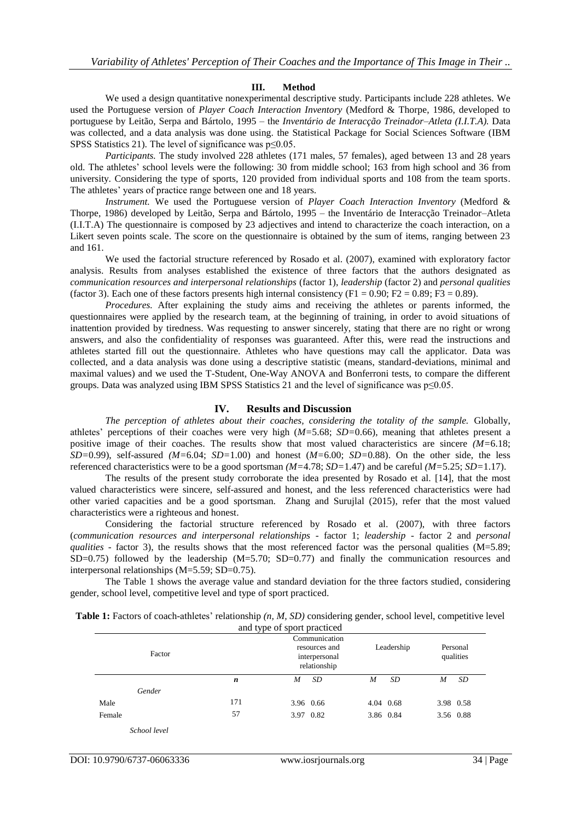#### **III. Method**

We used a design quantitative nonexperimental descriptive study. Participants include 228 athletes. We used the Portuguese version of *Player Coach Interaction Inventory* (Medford & Thorpe, 1986, developed to portuguese by Leitão, Serpa and Bártolo, 1995 – the *Inventário de Interacção Treinador–Atleta (I.I.T.A).* Data was collected, and a data analysis was done using. the Statistical Package for Social Sciences Software (IBM SPSS Statistics 21). The level of significance was  $p \le 0.05$ .

*Participants.* The study involved 228 athletes (171 males, 57 females), aged between 13 and 28 years old. The athletes' school levels were the following: 30 from middle school; 163 from high school and 36 from university. Considering the type of sports, 120 provided from individual sports and 108 from the team sports. The athletes' years of practice range between one and 18 years.

*Instrument.* We used the Portuguese version of *Player Coach Interaction Inventory* (Medford & Thorpe, 1986) developed by Leitão, Serpa and Bártolo, 1995 – the Inventário de Interacção Treinador–Atleta (I.I.T.A) The questionnaire is composed by 23 adjectives and intend to characterize the coach interaction, on a Likert seven points scale. The score on the questionnaire is obtained by the sum of items, ranging between 23 and 161.

We used the factorial structure referenced by Rosado et al. (2007), examined with exploratory factor analysis. Results from analyses established the existence of three factors that the authors designated as *communication resources and interpersonal relationships* (factor 1), *leadership* (factor 2) and *personal qualities* (factor 3). Each one of these factors presents high internal consistency (F1 = 0.90; F2 = 0.89; F3 = 0.89).

*Procedures.* After explaining the study aims and receiving the athletes or parents informed, the questionnaires were applied by the research team, at the beginning of training, in order to avoid situations of inattention provided by tiredness. Was requesting to answer sincerely, stating that there are no right or wrong answers, and also the confidentiality of responses was guaranteed. After this, were read the instructions and athletes started fill out the questionnaire. Athletes who have questions may call the applicator. Data was collected, and a data analysis was done using a descriptive statistic (means, standard-deviations, minimal and maximal values) and we used the T-Student, One-Way ANOVA and Bonferroni tests, to compare the different groups. Data was analyzed using IBM SPSS Statistics 21 and the level of significance was p≤0.05.

#### **IV. Results and Discussion**

*The perception of athletes about their coaches, considering the totality of the sample.* Globally, athletes' perceptions of their coaches were very high (*M=*5.68; *SD=*0.66), meaning that athletes present a positive image of their coaches. The results show that most valued characteristics are sincere *(M=*6.18; *SD=*0.99), self-assured *(M=*6.04; *SD=*1.00) and honest (*M=*6.00; *SD=*0.88). On the other side, the less referenced characteristics were to be a good sportsman *(M=*4.78; *SD=*1.47) and be careful *(M=*5.25; *SD=*1.17).

The results of the present study corroborate the idea presented by Rosado et al. [14], that the most valued characteristics were sincere, self-assured and honest, and the less referenced characteristics were had other varied capacities and be a good sportsman. Zhang and Surujlal (2015), refer that the most valued characteristics were a righteous and honest.

Considering the factorial structure referenced by Rosado et al. (2007), with three factors (*communication resources and interpersonal relationships* - factor 1; *leadership* - factor 2 and *personal qualities* - factor 3), the results shows that the most referenced factor was the personal qualities (M=5.89;  $SD=0.75$ ) followed by the leadership  $(M=5.70; SD=0.77)$  and finally the communication resources and interpersonal relationships (M=5.59; SD=0.75).

The Table 1 shows the average value and standard deviation for the three factors studied, considering gender, school level, competitive level and type of sport practiced.

| <b>Table 1:</b> Factors of coach-athletes' relationship (n, M, SD) considering gender, school level, competitive level |
|------------------------------------------------------------------------------------------------------------------------|
| and type of sport practiced                                                                                            |

| Factor       |     | Communication<br>resources and<br>interpersonal<br>relationship | Leadership | Personal<br>qualities |
|--------------|-----|-----------------------------------------------------------------|------------|-----------------------|
|              | n   | <b>SD</b><br>M                                                  | SD<br>M    | SD<br>M               |
| Gender       |     |                                                                 |            |                       |
| Male         | 171 | 3.96 0.66                                                       | 4.04 0.68  | 3.98 0.58             |
| Female       | 57  | 3.97 0.82                                                       | 3.86 0.84  | 3.56 0.88             |
| School level |     |                                                                 |            |                       |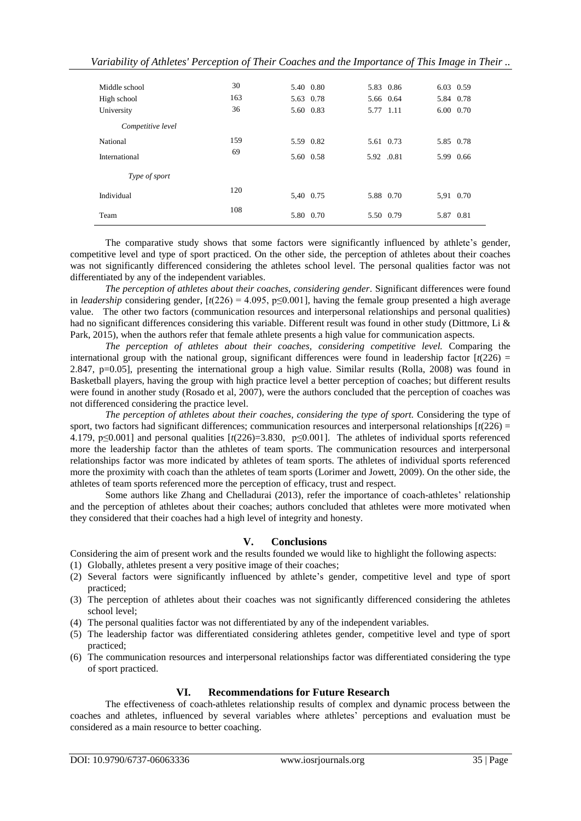| Middle school     | 30  | 5.40 0.80 | 5.83 0.86  | 6.03 0.59 |
|-------------------|-----|-----------|------------|-----------|
| High school       | 163 | 5.63 0.78 | 5.66 0.64  | 5.84 0.78 |
| University        | 36  | 5.60 0.83 | 5.77 1.11  | 6.00 0.70 |
| Competitive level |     |           |            |           |
| National          | 159 | 5.59 0.82 | 5.61 0.73  | 5.85 0.78 |
| International     | 69  | 5.60 0.58 | 5.92 .0.81 | 5.99 0.66 |
| Type of sport     |     |           |            |           |
| Individual        | 120 | 5,40 0.75 | 5.88 0.70  | 5,91 0.70 |
| Team              | 108 | 5.80 0.70 | 5.50 0.79  | 5.87 0.81 |

The comparative study shows that some factors were significantly influenced by athlete's gender, competitive level and type of sport practiced. On the other side, the perception of athletes about their coaches was not significantly differenced considering the athletes school level. The personal qualities factor was not differentiated by any of the independent variables.

*The perception of athletes about their coaches, considering gender.* Significant differences were found in *leadership* considering gender,  $[t(226) = 4.095, p \le 0.001]$ , having the female group presented a high average value. The other two factors (communication resources and interpersonal relationships and personal qualities) had no significant differences considering this variable. Different result was found in other study (Dittmore, Li & Park, 2015), when the authors refer that female athlete presents a high value for communication aspects.

*The perception of athletes about their coaches, considering competitive level.* Comparing the international group with the national group, significant differences were found in leadership factor  $\left[\frac{t(226)}{2}\right]$ 2.847, p=0.05], presenting the international group a high value. Similar results (Rolla, 2008) was found in Basketball players, having the group with high practice level a better perception of coaches; but different results were found in another study (Rosado et al, 2007), were the authors concluded that the perception of coaches was not differenced considering the practice level.

*The perception of athletes about their coaches, considering the type of sport.* Considering the type of sport, two factors had significant differences; communication resources and interpersonal relationships  $\left[\frac{t(226)}{2}\right]$ 4.179, p≤0.001] and personal qualities [*t*(226)=3.830, p≤0.001]. The athletes of individual sports referenced more the leadership factor than the athletes of team sports. The communication resources and interpersonal relationships factor was more indicated by athletes of team sports. The athletes of individual sports referenced more the proximity with coach than the athletes of team sports (Lorimer and Jowett, 2009). On the other side, the athletes of team sports referenced more the perception of efficacy, trust and respect.

Some authors like Zhang and Chelladurai (2013), refer the importance of coach-athletes' relationship and the perception of athletes about their coaches; authors concluded that athletes were more motivated when they considered that their coaches had a high level of integrity and honesty.

## **V. Conclusions**

Considering the aim of present work and the results founded we would like to highlight the following aspects:

- (1) Globally, athletes present a very positive image of their coaches;
- (2) Several factors were significantly influenced by athlete's gender, competitive level and type of sport practiced;
- (3) The perception of athletes about their coaches was not significantly differenced considering the athletes school level;
- (4) The personal qualities factor was not differentiated by any of the independent variables.
- (5) The leadership factor was differentiated considering athletes gender, competitive level and type of sport practiced;
- (6) The communication resources and interpersonal relationships factor was differentiated considering the type of sport practiced.

## **VI. Recommendations for Future Research**

The effectiveness of coach-athletes relationship results of complex and dynamic process between the coaches and athletes, influenced by several variables where athletes' perceptions and evaluation must be considered as a main resource to better coaching.